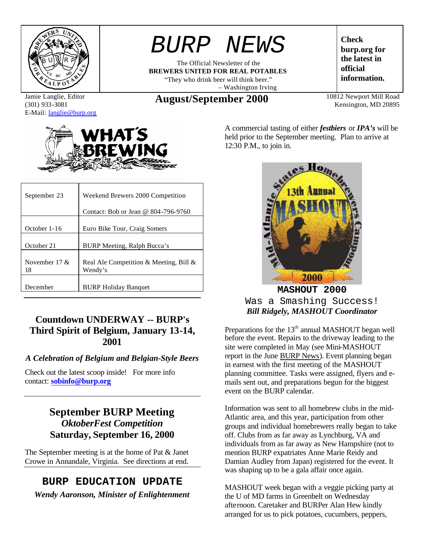

Jamie Langlie, Editor (301) 933-3081 E-Mail: langlie@burp.org



| September 23           | Weekend Brewers 2000 Competition                  |  |
|------------------------|---------------------------------------------------|--|
|                        | Contact: Bob or Jean @ 804-796-9760               |  |
| October 1-16           | Euro Bike Tour, Craig Somers                      |  |
| October 21             | BURP Meeting, Ralph Bucca's                       |  |
| November 17 $\&$<br>18 | Real Ale Competition & Meeting, Bill &<br>Wendy's |  |
| December               | <b>BURP Holiday Banquet</b>                       |  |

## **Countdown UNDERWAY -- BURP's Third Spirit of Belgium, January 13-14, 2001**

## *A Celebration of Belgium and Belgian-Style Beers*

Check out the latest scoop inside! For more info contact: **sobinfo@burp.org**

## **September BURP Meeting** *OktoberFest Competition* **Saturday, September 16, 2000**

The September meeting is at the home of Pat & Janet Crowe in Annandale, Virginia. See directions at end.

## **BURP EDUCATION UPDATE**

*Wendy Aaronson, Minister of Enlightenment*

# *BURP NEWS*

The Official Newsletter of the **BREWERS UNITED FOR REAL POTABLES** "They who drink beer will think beer." – Washington Irving

**Check burp.org for the latest in official information.**

**August/September 2000** 10812 Newport Mill Road

Kensington, MD 20895

A commercial tasting of either *festbiers* or *IPA's* will be held prior to the September meeting. Plan to arrive at 12:30 P.M., to join in.



**MASHOUT 2000** Was a Smashing Success! *Bill Ridgely, MASHOUT Coordinator*

Preparations for the 13<sup>th</sup> annual MASHOUT began well before the event. Repairs to the driveway leading to the site were completed in May (see Mini-MASHOUT report in the June BURP News). Event planning began in earnest with the first meeting of the MASHOUT planning committee. Tasks were assigned, flyers and emails sent out, and preparations begun for the biggest event on the BURP calendar.

Information was sent to all homebrew clubs in the mid-Atlantic area, and this year, participation from other groups and individual homebrewers really began to take off. Clubs from as far away as Lynchburg, VA and individuals from as far away as New Hampshire (not to mention BURP expatriates Anne Marie Reidy and Damian Audley from Japan) registered for the event. It was shaping up to be a gala affair once again.

MASHOUT week began with a veggie picking party at the U of MD farms in Greenbelt on Wednesday afternoon. Caretaker and BURPer Alan Hew kindly arranged for us to pick potatoes, cucumbers, peppers,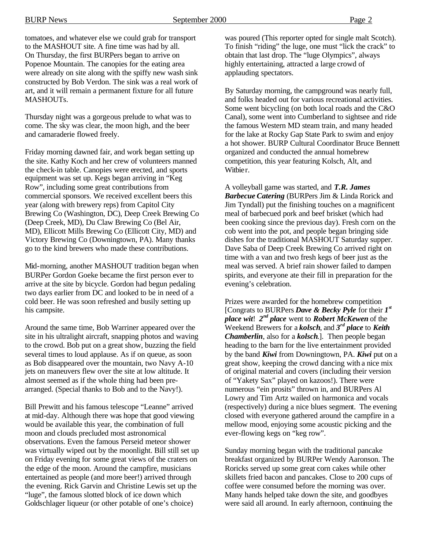tomatoes, and whatever else we could grab for transport to the MASHOUT site. A fine time was had by all. On Thursday, the first BURPers began to arrive on Popenoe Mountain. The canopies for the eating area were already on site along with the spiffy new wash sink constructed by Bob Verdon. The sink was a real work of art, and it will remain a permanent fixture for all future MASHOUT<sub>s</sub>

Thursday night was a gorgeous prelude to what was to come. The sky was clear, the moon high, and the beer and camaraderie flowed freely.

Friday morning dawned fair, and work began setting up the site. Kathy Koch and her crew of volunteers manned the check-in table. Canopies were erected, and sports equipment was set up. Kegs began arriving in "Keg Row", including some great contributions from commercial sponsors. We received excellent beers this year (along with brewery reps) from Capitol City Brewing Co (Washington, DC), Deep Creek Brewing Co (Deep Creek, MD), Du Claw Brewing Co (Bel Air, MD), Ellicott Mills Brewing Co (Ellicott City, MD) and Victory Brewing Co (Downingtown, PA). Many thanks go to the kind brewers who made these contributions.

Mid-morning, another MASHOUT tradition began when BURPer Gordon Goeke became the first person ever to arrive at the site by bicycle. Gordon had begun pedaling two days earlier from DC and looked to be in need of a cold beer. He was soon refreshed and busily setting up his campsite.

Around the same time, Bob Warriner appeared over the site in his ultralight aircraft, snapping photos and waving to the crowd. Bob put on a great show, buzzing the field several times to loud applause. As if on queue, as soon as Bob disappeared over the mountain, two Navy A-10 jets on maneuvers flew over the site at low altitude. It almost seemed as if the whole thing had been prearranged. (Special thanks to Bob and to the Navy!).

Bill Prewitt and his famous telescope "Leanne" arrived at mid-day. Although there was hope that good viewing would be available this year, the combination of full moon and clouds precluded most astronomical observations. Even the famous Perseid meteor shower was virtually wiped out by the moonlight. Bill still set up on Friday evening for some great views of the craters on the edge of the moon. Around the campfire, musicians entertained as people (and more beer!) arrived through the evening. Rick Garvin and Christine Lewis set up the "luge", the famous slotted block of ice down which Goldschlager liqueur (or other potable of one's choice)

was poured (This reporter opted for single malt Scotch). To finish "riding" the luge, one must "lick the crack" to obtain that last drop. The "luge Olympics", always highly entertaining, attracted a large crowd of applauding spectators.

By Saturday morning, the campground was nearly full, and folks headed out for various recreational activities. Some went bicycling (on both local roads and the C&O Canal), some went into Cumberland to sightsee and ride the famous Western MD steam train, and many headed for the lake at Rocky Gap State Park to swim and enjoy a hot shower. BURP Cultural Coordinator Bruce Bennett organized and conducted the annual homebrew competition, this year featuring Kolsch, Alt, and Witbier.

A volleyball game was started, and *T.R. James Barbecue Catering* (BURPers Jim & Linda Rorick and Jim Tyndall) put the finishing touches on a magnificent meal of barbecued pork and beef brisket (which had been cooking since the previous day). Fresh corn on the cob went into the pot, and people began bringing side dishes for the traditional MASHOUT Saturday supper. Dave Saba of Deep Creek Brewing Co arrived right on time with a van and two fresh kegs of beer just as the meal was served. A brief rain shower failed to dampen spirits, and everyone ate their fill in preparation for the evening's celebration.

Prizes were awarded for the homebrew competition [Congrats to BURPers *Dave & Becky Pyle* for their *1 st place wit*! *2 nd place* went to *Robert McKewen* of the Weekend Brewers for a *kolsch*, and *3 rd place* to *Keith Chamberlin*, also for a *kolsch*.]. Then people began heading to the barn for the live entertainment provided by the band *Kiwi* from Downingtown, PA. *Kiwi* put on a great show, keeping the crowd dancing with a nice mix of original material and covers (including their version of "Yakety Sax" played on kazoos!). There were numerous "ein prosits" thrown in, and BURPers Al Lowry and Tim Artz wailed on harmonica and vocals (respectively) during a nice blues segment. The evening closed with everyone gathered around the campfire in a mellow mood, enjoying some acoustic picking and the ever-flowing kegs on "keg row".

Sunday morning began with the traditional pancake breakfast organized by BURPer Wendy Aaronson. The Roricks served up some great corn cakes while other skillets fried bacon and pancakes. Close to 200 cups of coffee were consumed before the morning was over. Many hands helped take down the site, and goodbyes were said all around. In early afternoon, continuing the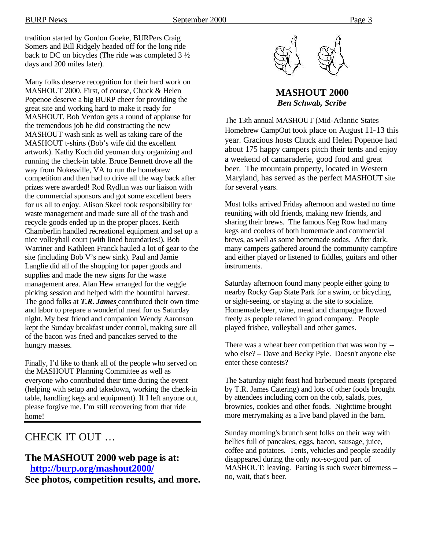tradition started by Gordon Goeke, BURPers Craig Somers and Bill Ridgely headed off for the long ride back to DC on bicycles (The ride was completed 3 ½ days and 200 miles later).

Many folks deserve recognition for their hard work on MASHOUT 2000. First, of course, Chuck & Helen Popenoe deserve a big BURP cheer for providing the great site and working hard to make it ready for MASHOUT. Bob Verdon gets a round of applause for the tremendous job he did constructing the new MASHOUT wash sink as well as taking care of the MASHOUT t-shirts (Bob's wife did the excellent artwork). Kathy Koch did yeoman duty organizing and running the check-in table. Bruce Bennett drove all the way from Nokesville, VA to run the homebrew competition and then had to drive all the way back after prizes were awarded! Rod Rydlun was our liaison with the commercial sponsors and got some excellent beers for us all to enjoy. Alison Skeel took responsibility for waste management and made sure all of the trash and recycle goods ended up in the proper places. Keith Chamberlin handled recreational equipment and set up a nice volleyball court (with lined boundaries!). Bob Warriner and Kathleen Franck hauled a lot of gear to the site (including Bob V's new sink). Paul and Jamie Langlie did all of the shopping for paper goods and supplies and made the new signs for the waste management area. Alan Hew arranged for the veggie picking session and helped with the bountiful harvest. The good folks at *T.R. James* contributed their own time and labor to prepare a wonderful meal for us Saturday night. My best friend and companion Wendy Aaronson kept the Sunday breakfast under control, making sure all of the bacon was fried and pancakes served to the hungry masses.

Finally, I'd like to thank all of the people who served on the MASHOUT Planning Committee as well as everyone who contributed their time during the event (helping with setup and takedown, working the check-in table, handling kegs and equipment). If I left anyone out, please forgive me. I'm still recovering from that ride home!

## CHECK IT OUT …

## **The MASHOUT 2000 web page is at: http://burp.org/mashout2000/**

**See photos, competition results, and more.**



**MASHOUT 2000** *Ben Schwab, Scribe*

The 13th annual MASHOUT (Mid-Atlantic States Homebrew CampOut took place on August 11-13 this year. Gracious hosts Chuck and Helen Popenoe had about 175 happy campers pitch their tents and enjoy a weekend of camaraderie, good food and great beer. The mountain property, located in Western Maryland, has served as the perfect MASHOUT site for several years.

Most folks arrived Friday afternoon and wasted no time reuniting with old friends, making new friends, and sharing their brews. The famous Keg Row had many kegs and coolers of both homemade and commercial brews, as well as some homemade sodas. After dark, many campers gathered around the community campfire and either played or listened to fiddles, guitars and other instruments.

Saturday afternoon found many people either going to nearby Rocky Gap State Park for a swim, or bicycling, or sight-seeing, or staying at the site to socialize. Homemade beer, wine, mead and champagne flowed freely as people relaxed in good company. People played frisbee, volleyball and other games.

There was a wheat beer competition that was won by - who else? – Dave and Becky Pyle. Doesn't anyone else enter these contests?

The Saturday night feast had barbecued meats (prepared by T.R. James Catering) and lots of other foods brought by attendees including corn on the cob, salads, pies, brownies, cookies and other foods. Nighttime brought more merrymaking as a live band played in the barn.

Sunday morning's brunch sent folks on their way with bellies full of pancakes, eggs, bacon, sausage, juice, coffee and potatoes. Tents, vehicles and people steadily disappeared during the only not-so-good part of MASHOUT: leaving. Parting is such sweet bitterness - no, wait, that's beer.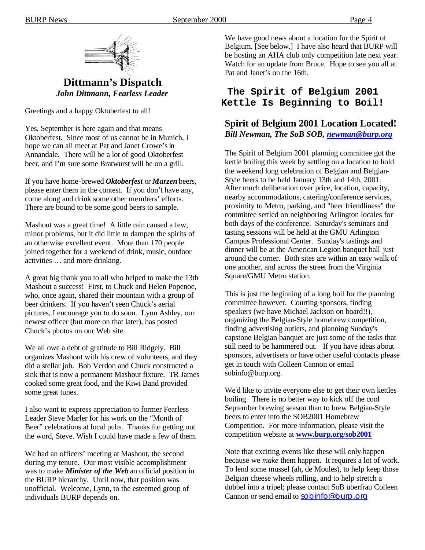

## **Dittmann's Dispatch** *John Dittmann, Fearless Leader*

Greetings and a happy Oktoberfest to all!

Yes, September is here again and that means Oktoberfest. Since most of us cannot be in Munich, I hope we can all meet at Pat and Janet Crowe's in Annandale. There will be a lot of good Oktoberfest beer, and I'm sure some Bratwurst will be on a grill.

If you have home-brewed *Oktoberfest* or *Marzen* beers, please enter them in the contest. If you don't have any, come along and drink some other members' efforts. There are bound to be some good beers to sample.

Mashout was a great time! A little rain caused a few, minor problems, but it did little to dampen the spirits of an otherwise excellent event. More than 170 people joined together for a weekend of drink, music, outdoor activities … and more drinking.

A great big thank you to all who helped to make the 13th Mashout a success! First, to Chuck and Helen Popenoe, who, once again, shared their mountain with a group of beer drinkers. If you haven't seen Chuck's aerial pictures, I encourage you to do soon. Lynn Ashley, our newest officer (but more on that later), has posted Chuck's photos on our Web site.

We all owe a debt of gratitude to Bill Ridgely. Bill organizes Mashout with his crew of volunteers, and they did a stellar job. Bob Verdon and Chuck constructed a sink that is now a permanent Mashout fixture. TR James cooked some great food, and the Kiwi Band provided some great tunes.

I also want to express appreciation to former Fearless Leader Steve Marler for his work on the "Month of Beer" celebrations at local pubs. Thanks for getting out the word, Steve. Wish I could have made a few of them.

We had an officers' meeting at Mashout, the second during my tenure. Our most visible accomplishment was to make *Minister of the Web* an official position in the BURP hierarchy. Until now, that position was unofficial. Welcome, Lynn, to the esteemed group of individuals BURP depends on.

We have good news about a location for the Spirit of Belgium. [See below.] I have also heard that BURP will be hosting an AHA club only competition late next year. Watch for an update from Bruce. Hope to see you all at Pat and Janet's on the 16th.

## **The Spirit of Belgium 2001 Kettle Is Beginning to Boil!**

## **Spirit of Belgium 2001 Location Located!** *Bill Newman, The SoB SOB, newman@burp.org*

The Spirit of Belgium 2001 planning committee got the kettle boiling this week by settling on a location to hold the weekend long celebration of Belgian and Belgian-Style beers to be held January 13th and 14th, 2001. After much deliberation over price, location, capacity, nearby accommodations, catering/conference services, proximity to Metro, parking, and "beer friendliness" the committee settled on neighboring Arlington locales for both days of the conference. Saturday's seminars and tasting sessions will be held at the GMU Arlington Campus Professional Center. Sunday's tastings and dinner will be at the American Legion banquet hall just around the corner. Both sites are within an easy walk of one another, and across the street from the Virginia Square/GMU Metro station.

This is just the beginning of a long boil for the planning committee however. Courting sponsors, finding speakers (we have Michael Jackson on board!!), organizing the Belgian-Style homebrew competition, finding advertising outlets, and planning Sunday's capstone Belgian banquet are just some of the tasks that still need to be hammered out. If you have ideas about sponsors, advertisers or have other useful contacts please get in touch with Colleen Cannon or email sobinfo@burp.org.

We'd like to invite everyone else to get their own kettles boiling. There is no better way to kick off the cool September brewing season than to brew Belgian-Style beers to enter into the SOB2001 Homebrew Competition. For more information, please visit the competition website at **www.burp.org/sob2001**

Note that exciting events like these will only happen because we *make* them happen. It requires a lot of work. To lend some mussel (ah, de Moules), to help keep those Belgian cheese wheels rolling, and to help stretch a dubbel into a tripel; please contact SoB überfrau Colleen Cannon or send email to sobinfo@burp.org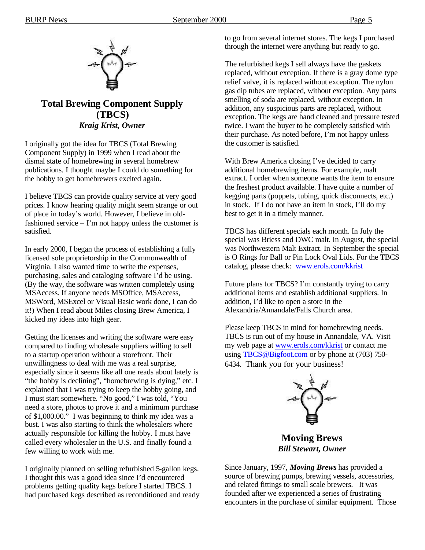

## **Total Brewing Component Supply (TBCS)** *Kraig Krist, Owner*

I originally got the idea for TBCS (Total Brewing Component Supply) in 1999 when I read about the dismal state of homebrewing in several homebrew publications. I thought maybe I could do something for the hobby to get homebrewers excited again.

I believe TBCS can provide quality service at very good prices. I know hearing quality might seem strange or out of place in today's world. However, I believe in oldfashioned service – I'm not happy unless the customer is satisfied.

In early 2000, I began the process of establishing a fully licensed sole proprietorship in the Commonwealth of Virginia. I also wanted time to write the expenses, purchasing, sales and cataloging software I'd be using. (By the way, the software was written completely using MSAccess. If anyone needs MSOffice, MSAccess, MSWord, MSExcel or Visual Basic work done, I can do it!) When I read about Miles closing Brew America, I kicked my ideas into high gear.

Getting the licenses and writing the software were easy compared to finding wholesale suppliers willing to sell to a startup operation without a storefront. Their unwillingness to deal with me was a real surprise, especially since it seems like all one reads about lately is "the hobby is declining", "homebrewing is dying," etc. I explained that I was trying to keep the hobby going, and I must start somewhere. "No good," I was told, "You need a store, photos to prove it and a minimum purchase of \$1,000.00." I was beginning to think my idea was a bust. I was also starting to think the wholesalers where actually responsible for killing the hobby. I must have called every wholesaler in the U.S. and finally found a few willing to work with me.

I originally planned on selling refurbished 5-gallon kegs. I thought this was a good idea since I'd encountered problems getting quality kegs before I started TBCS. I had purchased kegs described as reconditioned and ready to go from several internet stores. The kegs I purchased through the internet were anything but ready to go.

The refurbished kegs I sell always have the gaskets replaced, without exception. If there is a gray dome type relief valve, it is replaced without exception. The nylon gas dip tubes are replaced, without exception. Any parts smelling of soda are replaced, without exception. In addition, any suspicious parts are replaced, without exception. The kegs are hand cleaned and pressure tested twice. I want the buyer to be completely satisfied with their purchase. As noted before, I'm not happy unless the customer is satisfied.

With Brew America closing I've decided to carry additional homebrewing items. For example, malt extract. I order when someone wants the item to ensure the freshest product available. I have quite a number of kegging parts (poppets, tubing, quick disconnects, etc.) in stock. If I do not have an item in stock, I'll do my best to get it in a timely manner.

TBCS has different specials each month. In July the special was Briess and DWC malt. In August, the special was Northwestern Malt Extract. In September the special is O Rings for Ball or Pin Lock Oval Lids. For the TBCS catalog, please check: www.erols.com/kkrist

Future plans for TBCS? I'm constantly trying to carry additional items and establish additional suppliers. In addition, I'd like to open a store in the Alexandria/Annandale/Falls Church area.

Please keep TBCS in mind for homebrewing needs. TBCS is run out of my house in Annandale, VA. Visit my web page at www.erols.com/kkrist or contact me using TBCS@Bigfoot.com or by phone at (703) 750-6434. Thank you for your business!



**Moving Brews** *Bill Stewart, Owner*

Since January, 1997, *Moving Brews* has provided a source of brewing pumps, brewing vessels, accessories, and related fittings to small scale brewers. It was founded after we experienced a series of frustrating encounters in the purchase of similar equipment. Those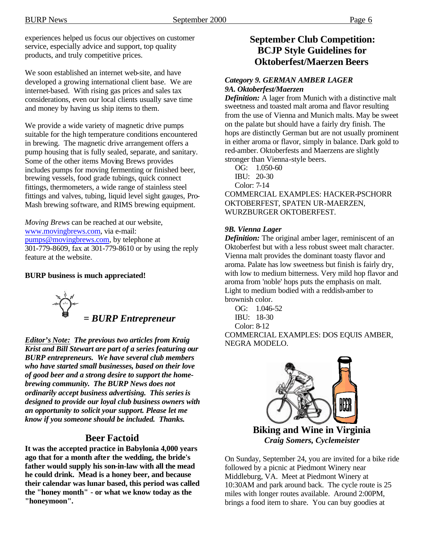experiences helped us focus our objectives on customer service, especially advice and support, top quality products, and truly competitive prices.

We soon established an internet web-site, and have developed a growing international client base. We are internet-based. With rising gas prices and sales tax considerations, even our local clients usually save time and money by having us ship items to them.

We provide a wide variety of magnetic drive pumps suitable for the high temperature conditions encountered in brewing. The magnetic drive arrangement offers a pump housing that is fully sealed, separate, and sanitary. Some of the other items Moving Brews provides includes pumps for moving fermenting or finished beer, brewing vessels, food grade tubings, quick connect fittings, thermometers, a wide range of stainless steel fittings and valves, tubing, liquid level sight gauges, Pro-Mash brewing software, and RIMS brewing equipment.

*Moving Brews* can be reached at our website, www.movingbrews.com, via e-mail: pumps@movingbrews.com, by telephone at 301-779-8609, fax at 301-779-8610 or by using the reply feature at the website.

#### **BURP business is much appreciated!**

 *= BURP Entrepreneur*

*Editor's Note: The previous two articles from Kraig Krist and Bill Stewart are part of a series featuring our BURP entrepreneurs. We have several club members who have started small businesses, based on their love of good beer and a strong desire to support the homebrewing community. The BURP News does not ordinarily accept business advertising. This series is designed to provide our loyal club business owners with an opportunity to solicit your support. Please let me know if you someone should be included. Thanks.*

## **Beer Factoid**

**It was the accepted practice in Babylonia 4,000 years ago that for a month after the wedding, the bride's father would supply his son-in-law with all the mead he could drink. Mead is a honey beer, and because their calendar was lunar based, this period was called the "honey month" - or what we know today as the "honeymoon".**

## **September Club Competition: BCJP Style Guidelines for Oktoberfest/Maerzen Beers**

### *Category 9. GERMAN AMBER LAGER 9A. Oktoberfest/Maerzen*

*Definition:* A lager from Munich with a distinctive malt sweetness and toasted malt aroma and flavor resulting from the use of Vienna and Munich malts. May be sweet on the palate but should have a fairly dry finish. The hops are distinctly German but are not usually prominent in either aroma or flavor, simply in balance. Dark gold to red-amber. Oktoberfests and Maerzens are slightly stronger than Vienna-style beers.

 OG: 1.050-60 IBU: 20-30 Color: 7-14

COMMERCIAL EXAMPLES: HACKER-PSCHORR OKTOBERFEST, SPATEN UR-MAERZEN, WURZBURGER OKTOBERFEST.

#### *9B. Vienna Lager*

*Definition:* The original amber lager, reminiscent of an Oktoberfest but with a less robust sweet malt character. Vienna malt provides the dominant toasty flavor and aroma. Palate has low sweetness but finish is fairly dry, with low to medium bitterness. Very mild hop flavor and aroma from 'noble' hops puts the emphasis on malt. Light to medium bodied with a reddish-amber to brownish color.

 OG: 1.046-52 IBU: 18-30 Color: 8-12 COMMERCIAL EXAMPLES: DOS EQUIS AMBER, NEGRA MODELO.



**Biking and Wine in Virginia** *Craig Somers, Cyclemeister*

On Sunday, September 24, you are invited for a bike ride followed by a picnic at Piedmont Winery near Middleburg, VA. Meet at Piedmont Winery at 10:30AM and park around back. The cycle route is 25 miles with longer routes available. Around 2:00PM, brings a food item to share. You can buy goodies at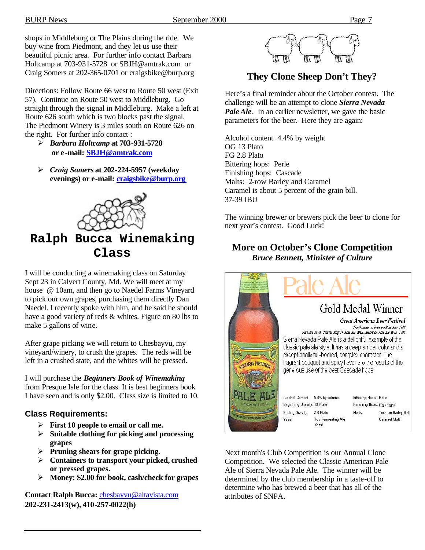shops in Middleburg or The Plains during the ride. We buy wine from Piedmont, and they let us use their beautiful picnic area. For further info contact Barbara Holtcamp at 703-931-5728 or SBJH@amtrak.com or Craig Somers at 202-365-0701 or craigsbike@burp.org

Directions: Follow Route 66 west to Route 50 west (Exit 57). Continue on Route 50 west to Middleburg. Go straight through the signal in Middleburg. Make a left at Route 626 south which is two blocks past the signal. The Piedmont Winery is 3 miles south on Route 626 on the right. For further info contact :

- ÿ *Barbara Holtcamp* **at 703-931-5728 or e -mail: SBJH@amtrak.com**
- ÿ *Craig Somers* **at 202-224-5957 (weekday evenings) or e-mail: craigsbike@burp.org**



## **Ralph Bucca Winemaking Class**

I will be conducting a winemaking class on Saturday Sept 23 in Calvert County, Md. We will meet at my house @ 10am, and then go to Naedel Farms Vineyard to pick our own grapes, purchasing them directly Dan Naedel. I recently spoke with him, and he said he should have a good variety of reds & whites. Figure on 80 lbs to make 5 gallons of wine.

After grape picking we will return to Chesbayvu, my vineyard/winery, to crush the grapes. The reds will be left in a crushed state, and the whites will be pressed.

I will purchase the *Beginners Book of Winemaking* from Presque Isle for the class. It is best beginners book I have seen and is only \$2.00. Class size is limited to 10.

## **Class Requirements:**

- ÿ **First 10 people to email or call me.**
- ÿ **Suitable clothing for picking and processing grapes**
- ÿ **Pruning shears for grape picking.**
- ÿ **Containers to transport your picked, crushed or pressed grapes.**
- ÿ **Money: \$2.00 for book, cash/check for grapes**

**Contact Ralph Bucca:** chesbayvu@altavista.com **202-231-2413(w), 410-257-0022(h)**



## **They Clone Sheep Don't They?**

Here's a final reminder about the October contest. The challenge will be an attempt to clone *Sierra Nevada Pale Ale*. In an earlier newsletter, we gave the basic parameters for the beer. Here they are again:

Alcohol content 4.4% by weight OG 13 Plato FG 2.8 Plato Bittering hops: Perle Finishing hops: Cascade Malts: 2-row Barley and Caramel Caramel is about 5 percent of the grain bill. 37-39 IBU

The winning brewer or brewers pick the beer to clone for next year's contest. Good Luck!

## **More on October's Clone Competition** *Bruce Bennett, Minister of Culture*



Next month's Club Competition is our Annual Clone Competition. We selected the Classic American Pale Ale of Sierra Nevada Pale Ale. The winner will be determined by the club membership in a taste-off to determine who has brewed a beer that has all of the attributes of SNPA.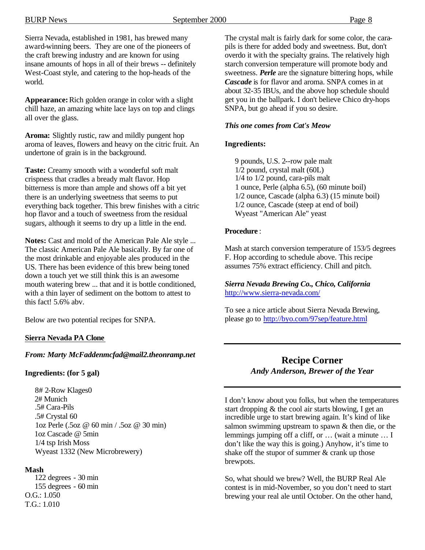Sierra Nevada, established in 1981, has brewed many award-winning beers. They are one of the pioneers of the craft brewing industry and are known for using insane amounts of hops in all of their brews -- definitely West-Coast style, and catering to the hop-heads of the world.

**Appearance:** Rich golden orange in color with a slight chill haze, an amazing white lace lays on top and clings all over the glass.

**Aroma:** Slightly rustic, raw and mildly pungent hop aroma of leaves, flowers and heavy on the citric fruit. An undertone of grain is in the background.

**Taste:** Creamy smooth with a wonderful soft malt crispness that cradles a bready malt flavor. Hop bitterness is more than ample and shows off a bit yet there is an underlying sweetness that seems to put everything back together. This brew finishes with a citric hop flavor and a touch of sweetness from the residual sugars, although it seems to dry up a little in the end.

**Notes:** Cast and mold of the American Pale Ale style ... The classic American Pale Ale basically. By far one of the most drinkable and enjoyable ales produced in the US. There has been evidence of this brew being toned down a touch yet we still think this is an awesome mouth watering brew ... that and it is bottle conditioned, with a thin layer of sediment on the bottom to attest to this fact! 5.6% abv.

Below are two potential recipes for SNPA.

#### **Sierra Nevada PA Clone**

#### *From: Marty McFaddenmcfad@mail2.theonramp.net*

#### **Ingredients: (for 5 gal)**

 8# 2-Row Klages0 2# Munich .5# Cara-Pils .5# Crystal 60 1oz Perle (.5oz @ 60 min / .5oz @ 30 min) 1oz Cascade @ 5min 1/4 tsp Irish Moss Wyeast 1332 (New Microbrewery)

#### **Mash**

 122 degrees - 30 min 155 degrees - 60 min O.G.: 1.050 T.G.: 1.010

The crystal malt is fairly dark for some color, the carapils is there for added body and sweetness. But, don't overdo it with the specialty grains. The relatively high starch conversion temperature will promote body and sweetness. *Perle* are the signature bittering hops, while *Cascade* is for flavor and aroma. SNPA comes in at about 32-35 IBUs, and the above hop schedule should get you in the ballpark. I don't believe Chico dry-hops SNPA, but go ahead if you so desire.

#### *This one comes from Cat's Meow*

#### **Ingredients:**

 9 pounds, U.S. 2--row pale malt 1/2 pound, crystal malt (60L) 1/4 to 1/2 pound, cara-pils malt 1 ounce, Perle (alpha 6.5), (60 minute boil) 1/2 ounce, Cascade (alpha 6.3) (15 minute boil) 1/2 ounce, Cascade (steep at end of boil) Wyeast "American Ale" yeast

#### **Procedure** :

Mash at starch conversion temperature of 153/5 degrees F. Hop according to schedule above. This recipe assumes 75% extract efficiency. Chill and pitch.

#### *Sierra Nevada Brewing Co., Chico, California*  http://www.sierra-nevada.com/

To see a nice article about Sierra Nevada Brewing, please go to http://byo.com/97sep/feature.html

## **Recipe Corner** *Andy Anderson, Brewer of the Year*

I don't know about you folks, but when the temperatures start dropping & the cool air starts blowing, I get an incredible urge to start brewing again. It's kind of like salmon swimming upstream to spawn & then die, or the lemmings jumping off a cliff, or … (wait a minute … I don't like the way this is going.) Anyhow, it's time to shake off the stupor of summer & crank up those brewpots.

So, what should we brew? Well, the BURP Real Ale contest is in mid-November, so you don't need to start brewing your real ale until October. On the other hand,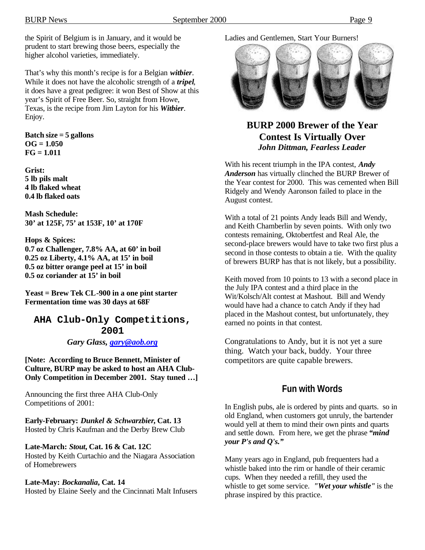That's why this month's recipe is for a Belgian *witbier*. While it does not have the alcoholic strength of a *tripel*, it does have a great pedigree: it won Best of Show at this year's Spirit of Free Beer. So, straight from Howe, Texas, is the recipe from Jim Layton for his *Witbier*. Enjoy.

**Batch size = 5 gallons OG = 1.050 FG = 1.011**

**Grist: 5 lb pils malt 4 lb flaked wheat 0.4 lb flaked oats**

**Mash Schedule: 30' at 125F, 75' at 153F, 10' at 170F**

**Hops & Spices: 0.7 oz Challenger, 7.8% AA, at 60' in boil 0.25 oz Liberty, 4.1% AA, at 15' in boil 0.5 oz bitter orange peel at 15' in boil 0.5 oz coriander at 15' in boil**

**Yeast = Brew Tek CL-900 in a one pint starter Fermentation time was 30 days at 68F**

**AHA Club-Only Competitions, 2001** *Gary Glass, gary@aob.org*

**[Note: According to Bruce Bennett, Minister of Culture, BURP may be asked to host an AHA Club-Only Competition in December 2001. Stay tuned …]**

Announcing the first three AHA Club-Only Competitions of 2001:

**Early-February:** *Dunkel & Schwarzbier***, Cat. 13** Hosted by Chris Kaufman and the Derby Brew Club

**Late-March:** *Stout***, Cat. 16 & Cat. 12C** Hosted by Keith Curtachio and the Niagara Association of Homebrewers

#### **Late-May:** *Bockanalia***, Cat. 14**

Hosted by Elaine Seely and the Cincinnati Malt Infusers

### Ladies and Gentlemen, Start Your Burners!



## **BURP 2000 Brewer of the Year Contest Is Virtually Over** *John Dittman, Fearless Leader*

With his recent triumph in the IPA contest, *Andy Anderson* has virtually clinched the BURP Brewer of the Year contest for 2000. This was cemented when Bill Ridgely and Wendy Aaronson failed to place in the August contest.

With a total of 21 points Andy leads Bill and Wendy, and Keith Chamberlin by seven points. With only two contests remaining, Oktobertfest and Real Ale, the second-place brewers would have to take two first plus a second in those contests to obtain a tie. With the quality of brewers BURP has that is not likely, but a possibility.

Keith moved from 10 points to 13 with a second place in the July IPA contest and a third place in the Wit/Kolsch/Alt contest at Mashout. Bill and Wendy would have had a chance to catch Andy if they had placed in the Mashout contest, but unfortunately, they earned no points in that contest.

Congratulations to Andy, but it is not yet a sure thing. Watch your back, buddy. Your three competitors are quite capable brewers.

## **Fun with Words**

In English pubs, ale is ordered by pints and quarts. so in old England, when customers got unruly, the bartender would yell at them to mind their own pints and quarts and settle down. From here, we get the phrase *"mind your P's and Q's."*

Many years ago in England, pub frequenters had a whistle baked into the rim or handle of their ceramic cups. When they needed a refill, they used the whistle to get some service. *"Wet your whistle"* is the phrase inspired by this practice.